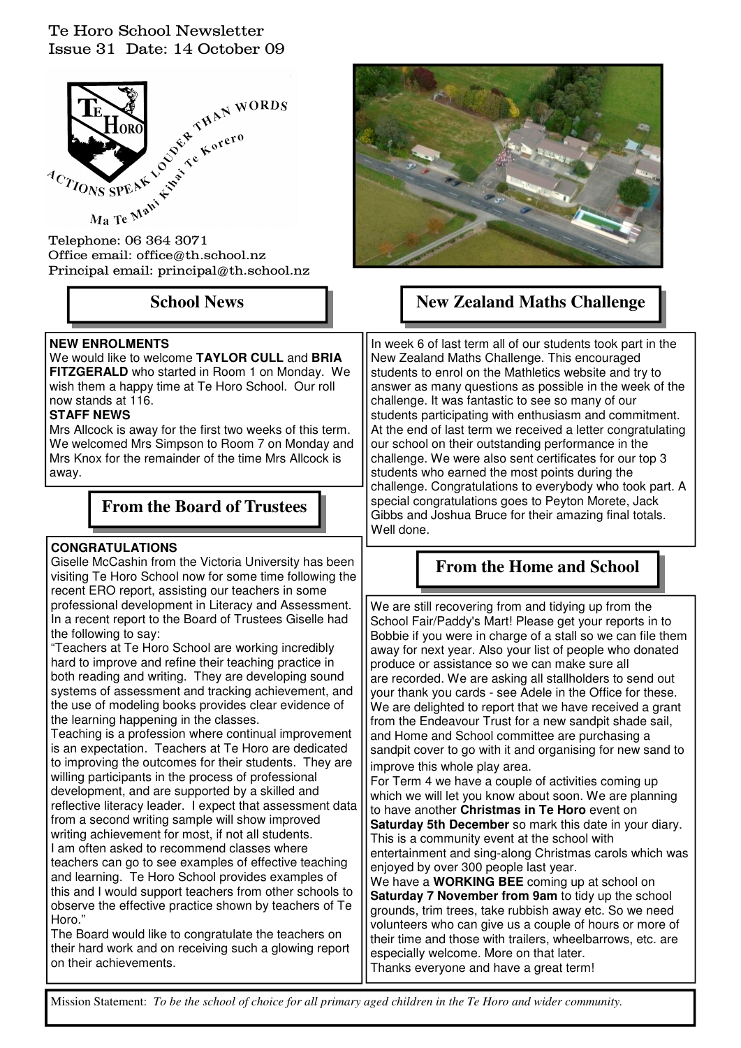### Te Horo School Newsletter Issue 31 Date: 14 October 09



Office email: office@th.school.nz Principal email: principal@th.school.nz

### **NEW ENROLMENTS**

We would like to welcome **TAYLOR CULL** and **BRIA FITZGERALD** who started in Room 1 on Monday. We wish them a happy time at Te Horo School. Our roll now stands at 116.

#### **STAFF NEWS**

Mrs Allcock is away for the first two weeks of this term. We welcomed Mrs Simpson to Room 7 on Monday and Mrs Knox for the remainder of the time Mrs Allcock is away.

# **From the Board of Trustees**

### **CONGRATULATIONS**

Giselle McCashin from the Victoria University has been visiting Te Horo School now for some time following the recent ERO report, assisting our teachers in some professional development in Literacy and Assessment. In a recent report to the Board of Trustees Giselle had the following to say:

"Teachers at Te Horo School are working incredibly hard to improve and refine their teaching practice in both reading and writing. They are developing sound systems of assessment and tracking achievement, and the use of modeling books provides clear evidence of the learning happening in the classes.

Teaching is a profession where continual improvement is an expectation. Teachers at Te Horo are dedicated to improving the outcomes for their students. They are willing participants in the process of professional development, and are supported by a skilled and reflective literacy leader. I expect that assessment data from a second writing sample will show improved writing achievement for most, if not all students. I am often asked to recommend classes where teachers can go to see examples of effective teaching and learning. Te Horo School provides examples of this and I would support teachers from other schools to observe the effective practice shown by teachers of Te Horo."

The Board would like to congratulate the teachers on their hard work and on receiving such a glowing report on their achievements.



# School News **New Zealand Maths Challenge**

In week 6 of last term all of our students took part in the New Zealand Maths Challenge. This encouraged students to enrol on the Mathletics website and try to answer as many questions as possible in the week of the challenge. It was fantastic to see so many of our students participating with enthusiasm and commitment. At the end of last term we received a letter congratulating our school on their outstanding performance in the challenge. We were also sent certificates for our top 3 students who earned the most points during the challenge. Congratulations to everybody who took part. A special congratulations goes to Peyton Morete, Jack Gibbs and Joshua Bruce for their amazing final totals. Well done.

# **From the Home and School**

We are still recovering from and tidying up from the School Fair/Paddy's Mart! Please get your reports in to Bobbie if you were in charge of a stall so we can file them away for next year. Also your list of people who donated produce or assistance so we can make sure all are recorded. We are asking all stallholders to send out your thank you cards - see Adele in the Office for these. We are delighted to report that we have received a grant from the Endeavour Trust for a new sandpit shade sail, and Home and School committee are purchasing a sandpit cover to go with it and organising for new sand to improve this whole play area.

For Term 4 we have a couple of activities coming up which we will let you know about soon. We are planning to have another **Christmas in Te Horo** event on **Saturday 5th December** so mark this date in your diary. This is a community event at the school with entertainment and sing-along Christmas carols which was enjoyed by over 300 people last year.

We have a **WORKING BEE** coming up at school on **Saturday 7 November from 9am** to tidy up the school grounds, trim trees, take rubbish away etc. So we need volunteers who can give us a couple of hours or more of their time and those with trailers, wheelbarrows, etc. are especially welcome. More on that later. Thanks everyone and have a great term!

Mission Statement: *To be the school of choice for all primary aged children in the Te Horo and wider community.*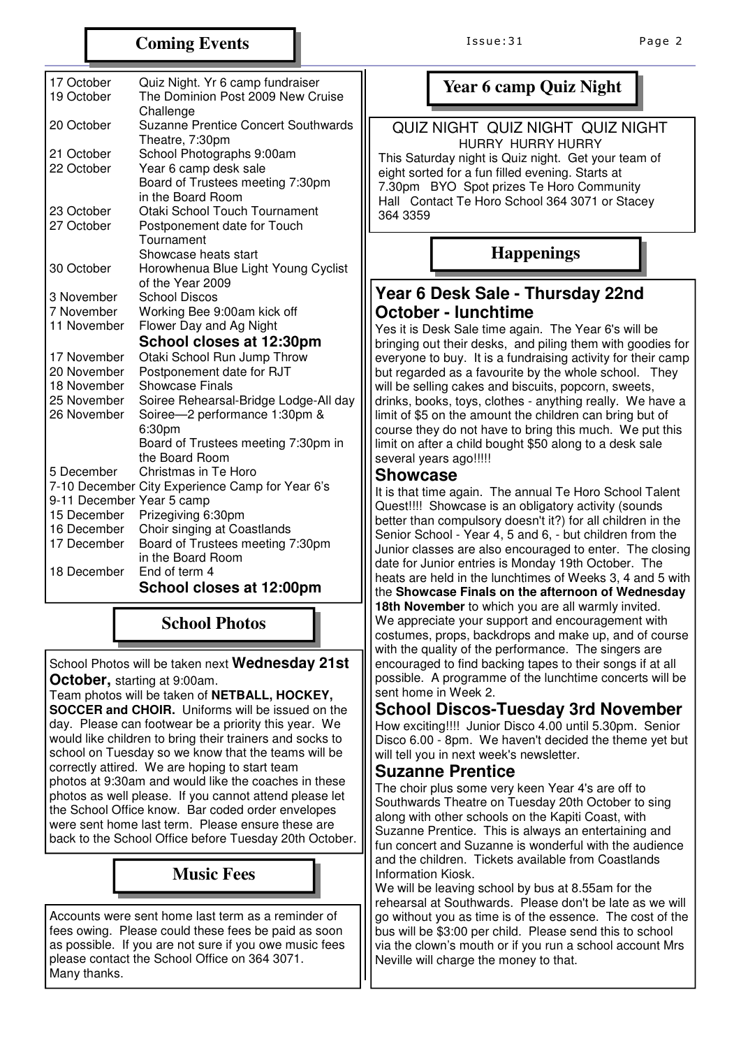### **Coming Events**

| 17 October                 | Quiz Night. Yr 6 camp fundraiser                                |
|----------------------------|-----------------------------------------------------------------|
| 19 October                 | The Dominion Post 2009 New Cruise                               |
| 20 October                 | Challenge<br>Suzanne Prentice Concert Southwards                |
|                            | Theatre, 7:30pm                                                 |
| 21 October                 | School Photographs 9:00am                                       |
| 22 October                 | Year 6 camp desk sale                                           |
|                            | Board of Trustees meeting 7:30pm                                |
|                            | in the Board Room                                               |
| 23 October<br>27 October   | Otaki School Touch Tournament                                   |
|                            | Postponement date for Touch<br>Tournament                       |
|                            | Showcase heats start                                            |
| 30 October                 | Horowhenua Blue Light Young Cyclist                             |
|                            | of the Year 2009                                                |
| 3 November                 | School Discos                                                   |
| 7 November                 | Working Bee 9:00am kick off                                     |
| 11 November                | Flower Day and Ag Night                                         |
|                            | School closes at 12:30pm                                        |
|                            |                                                                 |
| 17 November                | Otaki School Run Jump Throw                                     |
| 20 November                | Postponement date for RJT                                       |
| 18 November                | <b>Showcase Finals</b>                                          |
| 25 November<br>26 November | Soiree Rehearsal-Bridge Lodge-All day                           |
|                            | Soiree-2 performance 1:30pm &<br>6:30pm                         |
|                            | Board of Trustees meeting 7:30pm in                             |
|                            | the Board Room                                                  |
| 5 December                 | Christmas in Te Horo                                            |
|                            | 7-10 December City Experience Camp for Year 6's                 |
| 9-11 December Year 5 camp  |                                                                 |
| 15 December<br>16 December | Prizegiving 6:30pm                                              |
| 17 December                | Choir singing at Coastlands<br>Board of Trustees meeting 7:30pm |
|                            | in the Board Room                                               |
| 18 December                | End of term 4<br>School closes at 12:00pm                       |

# **School Photos**

School Photos will be taken next **Wednesday 21st October,** starting at 9:00am.

Team photos will be taken of **NETBALL, HOCKEY, SOCCER and CHOIR.** Uniforms will be issued on the day. Please can footwear be a priority this year. We would like children to bring their trainers and socks to school on Tuesday so we know that the teams will be correctly attired. We are hoping to start team photos at 9:30am and would like the coaches in these photos as well please. If you cannot attend please let the School Office know. Bar coded order envelopes were sent home last term. Please ensure these are back to the School Office before Tuesday 20th October.

# **Music Fees**

Accounts were sent home last term as a reminder of fees owing. Please could these fees be paid as soon as possible. If you are not sure if you owe music fees please contact the School Office on 364 3071. Many thanks.

# **Year 6 camp Quiz Night**

#### QUIZ NIGHT QUIZ NIGHT QUIZ NIGHT HURRY HURRY HURRY

 This Saturday night is Quiz night. Get your team of eight sorted for a fun filled evening. Starts at 7.30pm BYO Spot prizes Te Horo Community Hall Contact Te Horo School 364 3071 or Stacey 364 3359

# **Happenings**

### **Year 6 Desk Sale - Thursday 22nd October - lunchtime**

Yes it is Desk Sale time again. The Year 6's will be bringing out their desks, and piling them with goodies for everyone to buy. It is a fundraising activity for their camp but regarded as a favourite by the whole school. They will be selling cakes and biscuits, popcorn, sweets, drinks, books, toys, clothes - anything really. We have a limit of \$5 on the amount the children can bring but of course they do not have to bring this much. We put this limit on after a child bought \$50 along to a desk sale several years ago!!!!!

### **Showcase**

It is that time again. The annual Te Horo School Talent Quest!!!! Showcase is an obligatory activity (sounds better than compulsory doesn't it?) for all children in the Senior School - Year 4, 5 and 6, - but children from the Junior classes are also encouraged to enter. The closing date for Junior entries is Monday 19th October. The heats are held in the lunchtimes of Weeks 3, 4 and 5 with the **Showcase Finals on the afternoon of Wednesday 18th November** to which you are all warmly invited. We appreciate your support and encouragement with costumes, props, backdrops and make up, and of course with the quality of the performance. The singers are encouraged to find backing tapes to their songs if at all possible. A programme of the lunchtime concerts will be sent home in Week 2.

# **School Discos-Tuesday 3rd November**

How exciting!!!! Junior Disco 4.00 until 5.30pm. Senior Disco 6.00 - 8pm. We haven't decided the theme yet but will tell you in next week's newsletter.

### **Suzanne Prentice**

The choir plus some very keen Year 4's are off to Southwards Theatre on Tuesday 20th October to sing along with other schools on the Kapiti Coast, with Suzanne Prentice. This is always an entertaining and fun concert and Suzanne is wonderful with the audience and the children. Tickets available from Coastlands Information Kiosk.

We will be leaving school by bus at 8.55am for the rehearsal at Southwards. Please don't be late as we will go without you as time is of the essence. The cost of the bus will be \$3:00 per child. Please send this to school via the clown's mouth or if you run a school account Mrs Neville will charge the money to that.